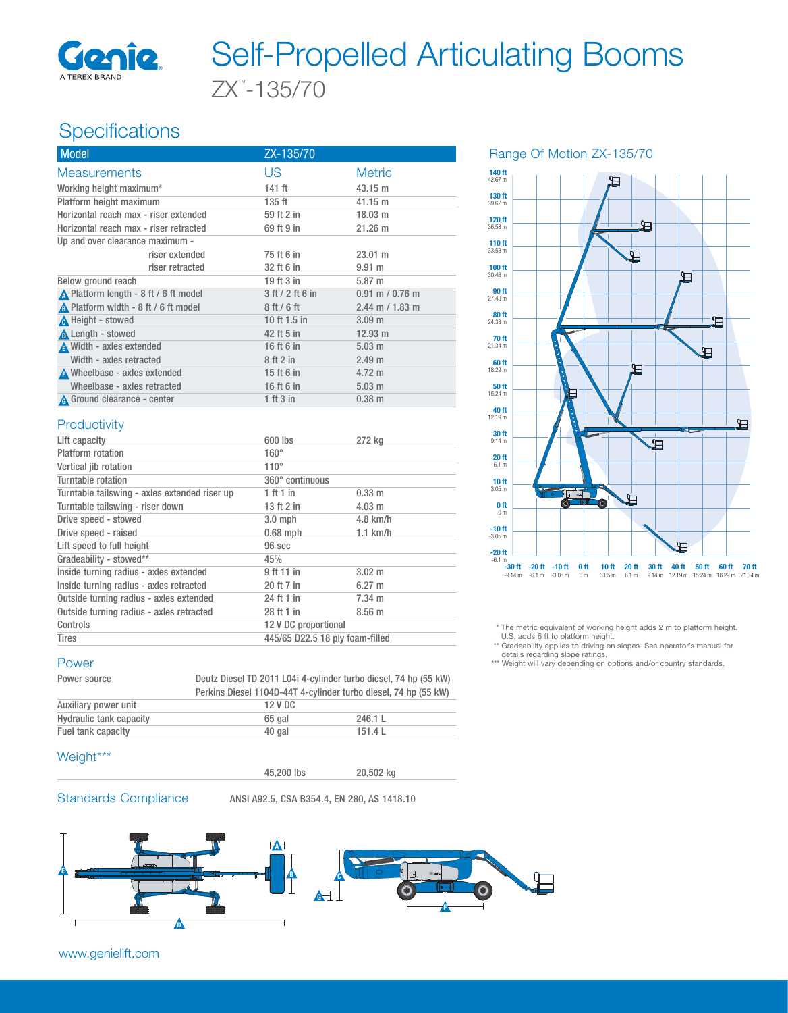

# ZX™ -135/70 Self-Propelled Articulating Booms

# Specifications

| <b>Model</b>                                  | ZX-135/70        |                     |
|-----------------------------------------------|------------------|---------------------|
| <b>Measurements</b>                           | <b>US</b>        | <b>Metric</b>       |
| Working height maximum*                       | $141$ ft         | 43.15 m             |
| Platform height maximum                       | $135$ ft         | 41.15 m             |
| Horizontal reach max - riser extended         | 59 ft 2 in       | $18.03 \text{ m}$   |
| Horizontal reach max - riser retracted        | 69 ft 9 in       | 21.26 m             |
| Up and over clearance maximum -               |                  |                     |
| riser extended                                | 75 ft 6 in       | $23.01 \text{ m}$   |
| riser retracted                               | 32 ft 6 in       | 9.91 m              |
| Below ground reach                            | 19 ft 3 in       | 5.87 m              |
| ▲ Platform length - 8 ft / 6 ft model         | 3 ft / 2 ft 6 in | $0.91$ m $/ 0.76$ m |
| A Platform width - 8 ft / 6 ft model          | 8ft/6ft          | $2.44$ m / 1.83 m   |
| <b>A</b> Height - stowed                      | 10 ft 1.5 in     | 3.09 <sub>m</sub>   |
| <b>A</b> Length - stowed                      | 42 ft 5 in       | $12.93 \text{ m}$   |
| A Width - axles extended                      | 16 ft 6 in       | $5.03 \text{ m}$    |
| Width - axles retracted                       | 8 ft 2 in        | 2.49 <sub>m</sub>   |
| A Wheelbase - axles extended                  | 15 ft 6 in       | 4.72 m              |
| Wheelbase - axles retracted                   | 16 ft 6 in       | $5.03 \text{ m}$    |
| A Ground clearance - center                   | 1 ft 3 in        | $0.38 \; m$         |
| Productivity                                  |                  |                     |
| Lift capacity                                 | 600 lbs          | 272 kg              |
| Platform rotation                             | $160^\circ$      |                     |
| Vertical jib rotation                         | $110^\circ$      |                     |
| Turntable rotation                            | 360° continuous  |                     |
| Turntable tailswing - axles extended riser up | 1 ft 1 in        | 0.33 m              |
| Turntable tailswing - riser down              | 13 ft 2 in       | $4.03$ m            |



Range Of Motion ZX-135/70

 \* The metric equivalent of working height adds 2 m to platform height. U.S. adds 6 ft to platform height. \*\* Gradeability applies to driving on slopes. See operator's manual for

details regarding slope ratings.

\*\*\* Weight will vary depending on options and/or country standards.

#### Controls 12 V DC proportional Tires 445/65 D22.5 18 ply foam-filled

## Power

| Power source            |         | Deutz Diesel TD 2011 L04i 4-cylinder turbo diesel, 74 hp (55 kW) |  |  |
|-------------------------|---------|------------------------------------------------------------------|--|--|
|                         |         | Perkins Diesel 1104D-44T 4-cylinder turbo diesel, 74 hp (55 kW)  |  |  |
| Auxiliary power unit    | 12 V DC |                                                                  |  |  |
| Hydraulic tank capacity | 65 gal  | 246.1 L                                                          |  |  |
| Fuel tank capacity      | 40 gal  | 151.4L                                                           |  |  |

### Weight\*\*\*

Drive speed - stowed 3.0 mph 4.8 km/h Drive speed - raised 0.68 mph 1.1 km/h

Inside turning radius - axles extended 9 ft 11 in 3.02 m Inside turning radius - axles retracted 20 ft 7 in 6.27 m Outside turning radius - axles extended 24 ft 1 in 7.34 m Outside turning radius - axles retracted 28 ft 1 in 8.56 m

Lift speed to full height 96 sec Gradeability - stowed\*\* 45%

45,200 lbs 20,502 kg

Standards Compliance ANSI A92.5, CSA B354.4, EN 280, AS 1418.10



www.genielift.com